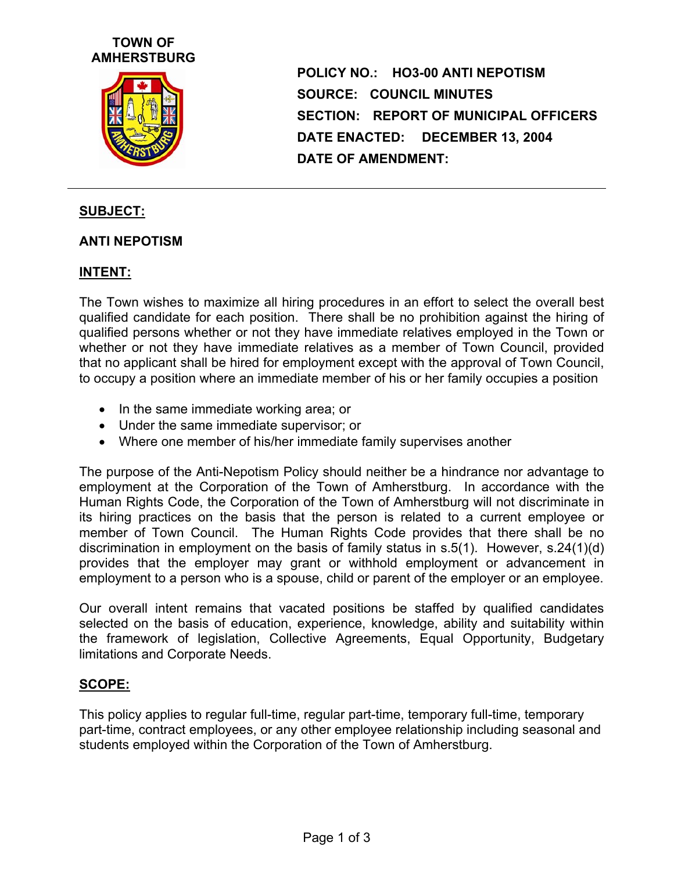## **TOWN OF AMHERSTBURG**



**POLICY NO.: HO3-00 ANTI NEPOTISM SOURCE: COUNCIL MINUTES SECTION: REPORT OF MUNICIPAL OFFICERS DATE ENACTED: DECEMBER 13, 2004 DATE OF AMENDMENT:** 

### **SUBJECT:**

#### **ANTI NEPOTISM**

### **INTENT:**

The Town wishes to maximize all hiring procedures in an effort to select the overall best qualified candidate for each position. There shall be no prohibition against the hiring of qualified persons whether or not they have immediate relatives employed in the Town or whether or not they have immediate relatives as a member of Town Council, provided that no applicant shall be hired for employment except with the approval of Town Council, to occupy a position where an immediate member of his or her family occupies a position

- In the same immediate working area; or
- Under the same immediate supervisor; or
- Where one member of his/her immediate family supervises another

The purpose of the Anti-Nepotism Policy should neither be a hindrance nor advantage to employment at the Corporation of the Town of Amherstburg. In accordance with the Human Rights Code, the Corporation of the Town of Amherstburg will not discriminate in its hiring practices on the basis that the person is related to a current employee or member of Town Council. The Human Rights Code provides that there shall be no discrimination in employment on the basis of family status in s.5(1). However, s.24(1)(d) provides that the employer may grant or withhold employment or advancement in employment to a person who is a spouse, child or parent of the employer or an employee.

Our overall intent remains that vacated positions be staffed by qualified candidates selected on the basis of education, experience, knowledge, ability and suitability within the framework of legislation, Collective Agreements, Equal Opportunity, Budgetary limitations and Corporate Needs.

#### **SCOPE:**

This policy applies to regular full-time, regular part-time, temporary full-time, temporary part-time, contract employees, or any other employee relationship including seasonal and students employed within the Corporation of the Town of Amherstburg.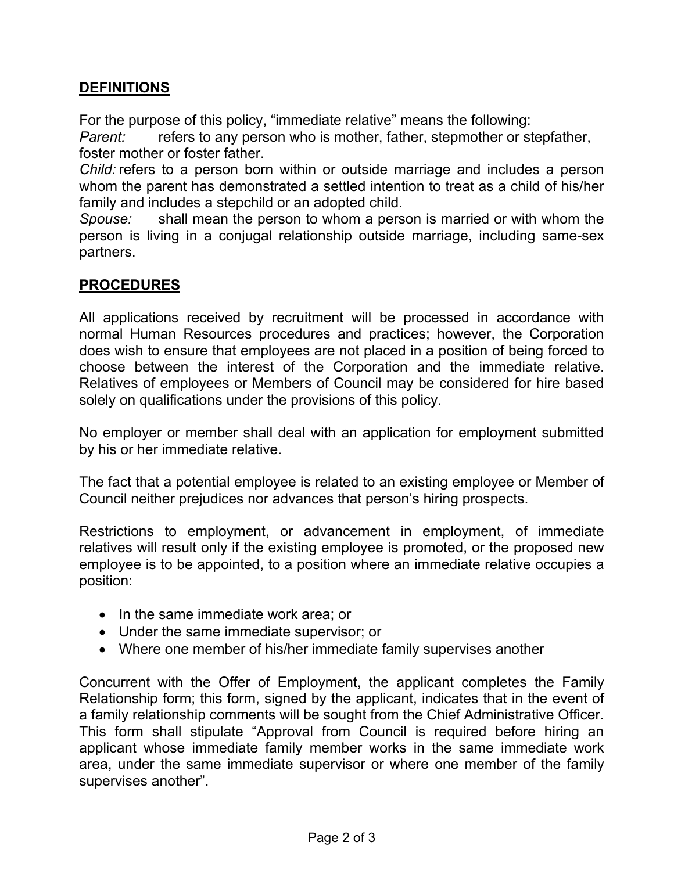## **DEFINITIONS**

For the purpose of this policy, "immediate relative" means the following:

*Parent:* refers to any person who is mother, father, stepmother or stepfather, foster mother or foster father.

*Child:* refers to a person born within or outside marriage and includes a person whom the parent has demonstrated a settled intention to treat as a child of his/her family and includes a stepchild or an adopted child.

*Spouse:* shall mean the person to whom a person is married or with whom the person is living in a conjugal relationship outside marriage, including same-sex partners.

# **PROCEDURES**

All applications received by recruitment will be processed in accordance with normal Human Resources procedures and practices; however, the Corporation does wish to ensure that employees are not placed in a position of being forced to choose between the interest of the Corporation and the immediate relative. Relatives of employees or Members of Council may be considered for hire based solely on qualifications under the provisions of this policy.

No employer or member shall deal with an application for employment submitted by his or her immediate relative.

The fact that a potential employee is related to an existing employee or Member of Council neither prejudices nor advances that person's hiring prospects.

Restrictions to employment, or advancement in employment, of immediate relatives will result only if the existing employee is promoted, or the proposed new employee is to be appointed, to a position where an immediate relative occupies a position:

- In the same immediate work area; or
- Under the same immediate supervisor; or
- Where one member of his/her immediate family supervises another

Concurrent with the Offer of Employment, the applicant completes the Family Relationship form; this form, signed by the applicant, indicates that in the event of a family relationship comments will be sought from the Chief Administrative Officer. This form shall stipulate "Approval from Council is required before hiring an applicant whose immediate family member works in the same immediate work area, under the same immediate supervisor or where one member of the family supervises another".